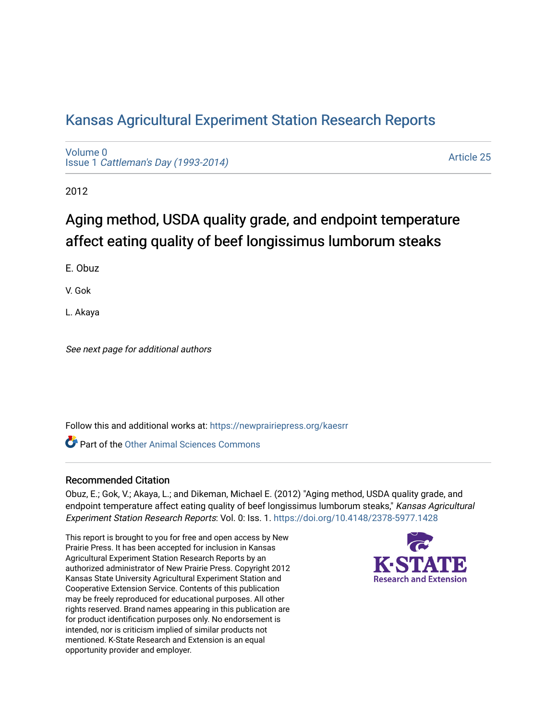## [Kansas Agricultural Experiment Station Research Reports](https://newprairiepress.org/kaesrr)

[Volume 0](https://newprairiepress.org/kaesrr/vol0) Issue 1 [Cattleman's Day \(1993-2014\)](https://newprairiepress.org/kaesrr/vol0/iss1) 

[Article 25](https://newprairiepress.org/kaesrr/vol0/iss1/25) 

2012

# Aging method, USDA quality grade, and endpoint temperature affect eating quality of beef longissimus lumborum steaks

E. Obuz

V. Gok

L. Akaya

See next page for additional authors

Follow this and additional works at: [https://newprairiepress.org/kaesrr](https://newprairiepress.org/kaesrr?utm_source=newprairiepress.org%2Fkaesrr%2Fvol0%2Fiss1%2F25&utm_medium=PDF&utm_campaign=PDFCoverPages) 

**C** Part of the [Other Animal Sciences Commons](http://network.bepress.com/hgg/discipline/82?utm_source=newprairiepress.org%2Fkaesrr%2Fvol0%2Fiss1%2F25&utm_medium=PDF&utm_campaign=PDFCoverPages)

### Recommended Citation

Obuz, E.; Gok, V.; Akaya, L.; and Dikeman, Michael E. (2012) "Aging method, USDA quality grade, and endpoint temperature affect eating quality of beef longissimus lumborum steaks," Kansas Agricultural Experiment Station Research Reports: Vol. 0: Iss. 1. <https://doi.org/10.4148/2378-5977.1428>

This report is brought to you for free and open access by New Prairie Press. It has been accepted for inclusion in Kansas Agricultural Experiment Station Research Reports by an authorized administrator of New Prairie Press. Copyright 2012 Kansas State University Agricultural Experiment Station and Cooperative Extension Service. Contents of this publication may be freely reproduced for educational purposes. All other rights reserved. Brand names appearing in this publication are for product identification purposes only. No endorsement is intended, nor is criticism implied of similar products not mentioned. K-State Research and Extension is an equal opportunity provider and employer.

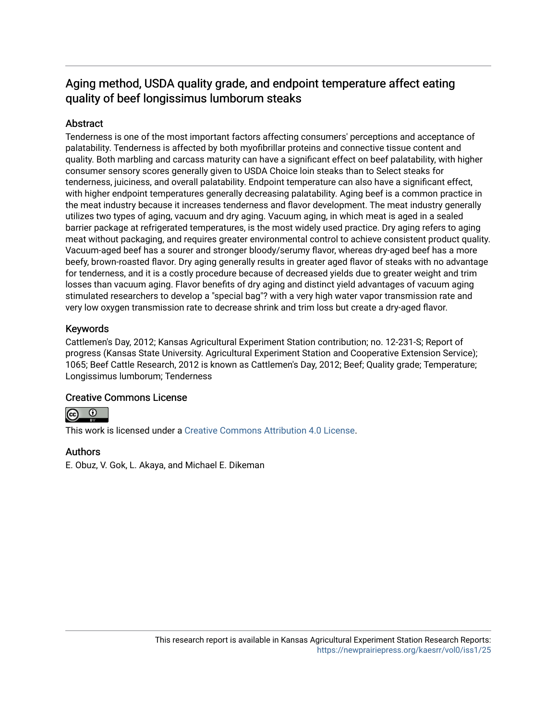## Aging method, USDA quality grade, and endpoint temperature affect eating quality of beef longissimus lumborum steaks

### Abstract

Tenderness is one of the most important factors affecting consumers' perceptions and acceptance of palatability. Tenderness is affected by both myofibrillar proteins and connective tissue content and quality. Both marbling and carcass maturity can have a significant effect on beef palatability, with higher consumer sensory scores generally given to USDA Choice loin steaks than to Select steaks for tenderness, juiciness, and overall palatability. Endpoint temperature can also have a significant effect, with higher endpoint temperatures generally decreasing palatability. Aging beef is a common practice in the meat industry because it increases tenderness and flavor development. The meat industry generally utilizes two types of aging, vacuum and dry aging. Vacuum aging, in which meat is aged in a sealed barrier package at refrigerated temperatures, is the most widely used practice. Dry aging refers to aging meat without packaging, and requires greater environmental control to achieve consistent product quality. Vacuum-aged beef has a sourer and stronger bloody/serumy flavor, whereas dry-aged beef has a more beefy, brown-roasted flavor. Dry aging generally results in greater aged flavor of steaks with no advantage for tenderness, and it is a costly procedure because of decreased yields due to greater weight and trim losses than vacuum aging. Flavor benefits of dry aging and distinct yield advantages of vacuum aging stimulated researchers to develop a "special bag"? with a very high water vapor transmission rate and very low oxygen transmission rate to decrease shrink and trim loss but create a dry-aged flavor.

### Keywords

Cattlemen's Day, 2012; Kansas Agricultural Experiment Station contribution; no. 12-231-S; Report of progress (Kansas State University. Agricultural Experiment Station and Cooperative Extension Service); 1065; Beef Cattle Research, 2012 is known as Cattlemen's Day, 2012; Beef; Quality grade; Temperature; Longissimus lumborum; Tenderness

### Creative Commons License



This work is licensed under a [Creative Commons Attribution 4.0 License](https://creativecommons.org/licenses/by/4.0/).

### Authors

E. Obuz, V. Gok, L. Akaya, and Michael E. Dikeman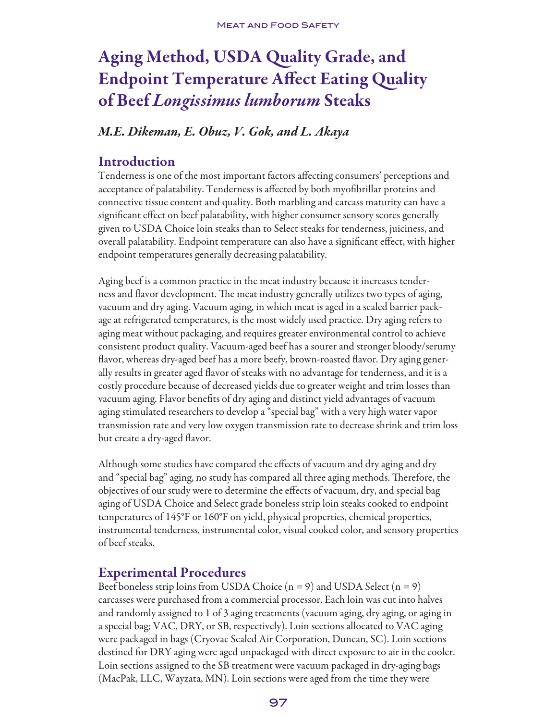# Aging Method, USDA Quality Grade, and Endpoint Temperature Affect Eating Quality of Beef *Longissimus lumborum* Steaks

## *M.E. Dikeman, E. Obuz, V. Gok, and L. Akaya*

## Introduction

Tenderness is one of the most important factors affecting consumers' perceptions and acceptance of palatability. Tenderness is affected by both myofibrillar proteins and connective tissue content and quality. Both marbling and carcass maturity can have a significant effect on beef palatability, with higher consumer sensory scores generally given to USDA Choice loin steaks than to Select steaks for tenderness, juiciness, and overall palatability. Endpoint temperature can also have a significant effect, with higher endpoint temperatures generally decreasing palatability.

Aging beef is a common practice in the meat industry because it increases tenderness and flavor development. The meat industry generally utilizes two types of aging, vacuum and dry aging. Vacuum aging, in which meat is aged in a sealed barrier package at refrigerated temperatures, is the most widely used practice. Dry aging refers to aging meat without packaging, and requires greater environmental control to achieve consistent product quality. Vacuum-aged beef has a sourer and stronger bloody/serumy flavor, whereas dry-aged beef has a more beefy, brown-roasted flavor. Dry aging generally results in greater aged flavor of steaks with no advantage for tenderness, and it is a costly procedure because of decreased yields due to greater weight and trim losses than vacuum aging. Flavor benefits of dry aging and distinct yield advantages of vacuum aging stimulated researchers to develop a "special bag" with a very high water vapor transmission rate and very low oxygen transmission rate to decrease shrink and trim loss but create a dry-aged flavor.

Although some studies have compared the effects of vacuum and dry aging and dry and "special bag" aging, no study has compared all three aging methods. Therefore, the objectives of our study were to determine the effects of vacuum, dry, and special bag aging of USDA Choice and Select grade boneless strip loin steaks cooked to endpoint temperatures of 145°F or 160°F on yield, physical properties, chemical properties, instrumental tenderness, instrumental color, visual cooked color, and sensory properties of beef steaks.

## Experimental Procedures

Beef boneless strip loins from USDA Choice  $(n = 9)$  and USDA Select  $(n = 9)$ carcasses were purchased from a commercial processor. Each loin was cut into halves and randomly assigned to 1 of 3 aging treatments (vacuum aging, dry aging, or aging in a special bag; VAC, DRY, or SB, respectively). Loin sections allocated to VAC aging were packaged in bags (Cryovac Sealed Air Corporation, Duncan, SC). Loin sections destined for DRY aging were aged unpackaged with direct exposure to air in the cooler. Loin sections assigned to the SB treatment were vacuum packaged in dry-aging bags (MacPak, LLC, Wayzata, MN). Loin sections were aged from the time they were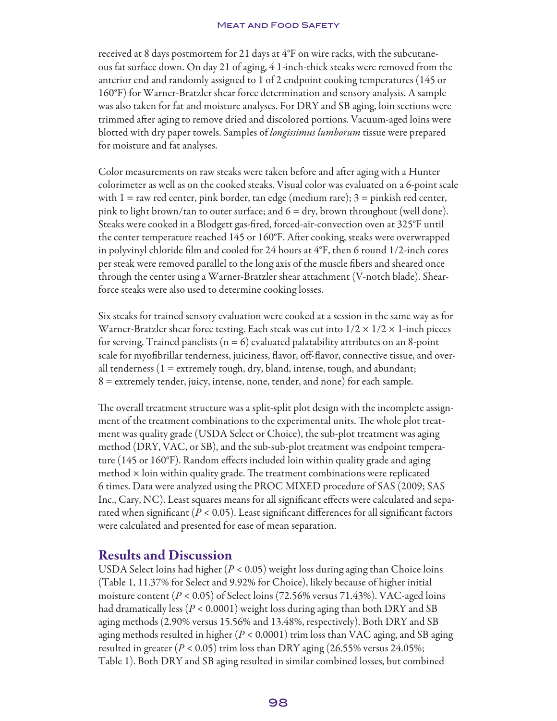received at 8 days postmortem for 21 days at 4°F on wire racks, with the subcutaneous fat surface down. On day 21 of aging, 4 1-inch-thick steaks were removed from the anterior end and randomly assigned to 1 of 2 endpoint cooking temperatures (145 or 160°F) for Warner-Bratzler shear force determination and sensory analysis. A sample was also taken for fat and moisture analyses. For DRY and SB aging, loin sections were trimmed after aging to remove dried and discolored portions. Vacuum-aged loins were blotted with dry paper towels. Samples of *longissimus lumborum* tissue were prepared for moisture and fat analyses.

Color measurements on raw steaks were taken before and after aging with a Hunter colorimeter as well as on the cooked steaks. Visual color was evaluated on a 6-point scale with  $1 =$  raw red center, pink border, tan edge (medium rare);  $3 =$  pinkish red center, pink to light brown/tan to outer surface; and  $6 = \text{dry}$ , brown throughout (well done). Steaks were cooked in a Blodgett gas-fired, forced-air-convection oven at 325°F until the center temperature reached 145 or 160°F. After cooking, steaks were overwrapped in polyvinyl chloride film and cooled for 24 hours at 4°F, then 6 round 1/2-inch cores per steak were removed parallel to the long axis of the muscle fibers and sheared once through the center using a Warner-Bratzler shear attachment (V-notch blade). Shearforce steaks were also used to determine cooking losses.

Six steaks for trained sensory evaluation were cooked at a session in the same way as for Warner-Bratzler shear force testing. Each steak was cut into  $1/2 \times 1/2 \times 1$ -inch pieces for serving. Trained panelists ( $n = 6$ ) evaluated palatability attributes on an 8-point scale for myofibrillar tenderness, juiciness, flavor, off-flavor, connective tissue, and overall tenderness (1 = extremely tough, dry, bland, intense, tough, and abundant; 8 = extremely tender, juicy, intense, none, tender, and none) for each sample.

The overall treatment structure was a split-split plot design with the incomplete assignment of the treatment combinations to the experimental units. The whole plot treatment was quality grade (USDA Select or Choice), the sub-plot treatment was aging method (DRY, VAC, or SB), and the sub-sub-plot treatment was endpoint temperature (145 or 160°F). Random effects included loin within quality grade and aging method × loin within quality grade. The treatment combinations were replicated 6 times. Data were analyzed using the PROC MIXED procedure of SAS (2009; SAS Inc., Cary, NC). Least squares means for all significant effects were calculated and separated when significant  $(P < 0.05)$ . Least significant differences for all significant factors were calculated and presented for ease of mean separation.

## Results and Discussion

USDA Select loins had higher (*P* < 0.05) weight loss during aging than Choice loins (Table 1, 11.37% for Select and 9.92% for Choice), likely because of higher initial moisture content (*P* < 0.05) of Select loins (72.56% versus 71.43%). VAC-aged loins had dramatically less (*P* < 0.0001) weight loss during aging than both DRY and SB aging methods (2.90% versus 15.56% and 13.48%, respectively). Both DRY and SB aging methods resulted in higher (*P* < 0.0001) trim loss than VAC aging, and SB aging resulted in greater (*P* < 0.05) trim loss than DRY aging (26.55% versus 24.05%; Table 1). Both DRY and SB aging resulted in similar combined losses, but combined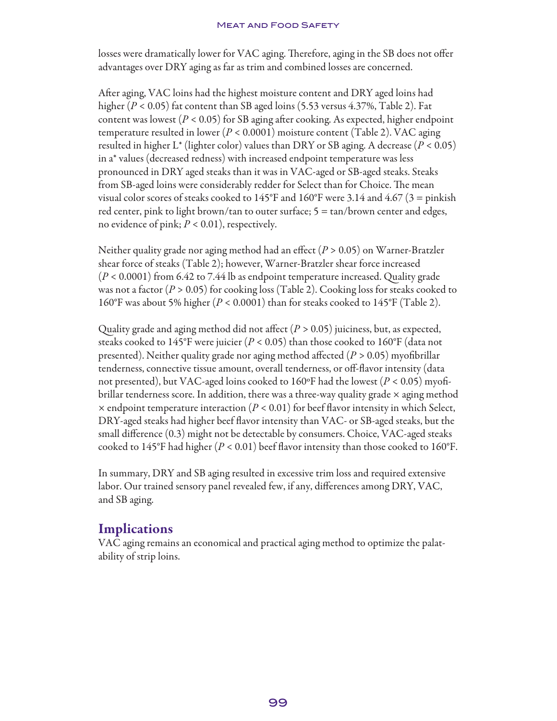#### **MEAT AND FOOD SAFETY**

losses were dramatically lower for VAC aging. Therefore, aging in the SB does not offer advantages over DRY aging as far as trim and combined losses are concerned.

After aging, VAC loins had the highest moisture content and DRY aged loins had higher (*P* < 0.05) fat content than SB aged loins (5.53 versus 4.37%, Table 2). Fat content was lowest (*P* < 0.05) for SB aging after cooking. As expected, higher endpoint temperature resulted in lower (*P* < 0.0001) moisture content (Table 2). VAC aging resulted in higher L\* (lighter color) values than DRY or SB aging. A decrease (*P* < 0.05) in a\* values (decreased redness) with increased endpoint temperature was less pronounced in DRY aged steaks than it was in VAC-aged or SB-aged steaks. Steaks from SB-aged loins were considerably redder for Select than for Choice. The mean visual color scores of steaks cooked to  $145^{\circ}$ F and  $160^{\circ}$ F were 3.14 and  $4.67$  (3 = pinkish red center, pink to light brown/tan to outer surface; 5 = tan/brown center and edges, no evidence of pink; *P* < 0.01), respectively.

Neither quality grade nor aging method had an effect (*P* > 0.05) on Warner-Bratzler shear force of steaks (Table 2); however, Warner-Bratzler shear force increased (*P* < 0.0001) from 6.42 to 7.44 lb as endpoint temperature increased. Quality grade was not a factor (*P* > 0.05) for cooking loss (Table 2). Cooking loss for steaks cooked to 160°F was about 5% higher (*P* < 0.0001) than for steaks cooked to 145°F (Table 2).

Quality grade and aging method did not affect (*P >* 0.05) juiciness, but, as expected, steaks cooked to 145°F were juicier (*P <* 0.05) than those cooked to 160°F (data not presented). Neither quality grade nor aging method affected (*P >* 0.05) myofibrillar tenderness, connective tissue amount, overall tenderness, or off-flavor intensity (data not presented), but VAC-aged loins cooked to 160ºF had the lowest (*P <* 0.05) myofibrillar tenderness score. In addition, there was a three-way quality grade  $\times$  aging method  $\times$  endpoint temperature interaction ( $P < 0.01$ ) for beef flavor intensity in which Select, DRY-aged steaks had higher beef flavor intensity than VAC- or SB-aged steaks, but the small difference (0.3) might not be detectable by consumers. Choice, VAC-aged steaks cooked to 145°F had higher ( $P < 0.01$ ) beef flavor intensity than those cooked to 160°F.

In summary, DRY and SB aging resulted in excessive trim loss and required extensive labor. Our trained sensory panel revealed few, if any, differences among DRY, VAC, and SB aging.

## Implications

VAC aging remains an economical and practical aging method to optimize the palatability of strip loins.